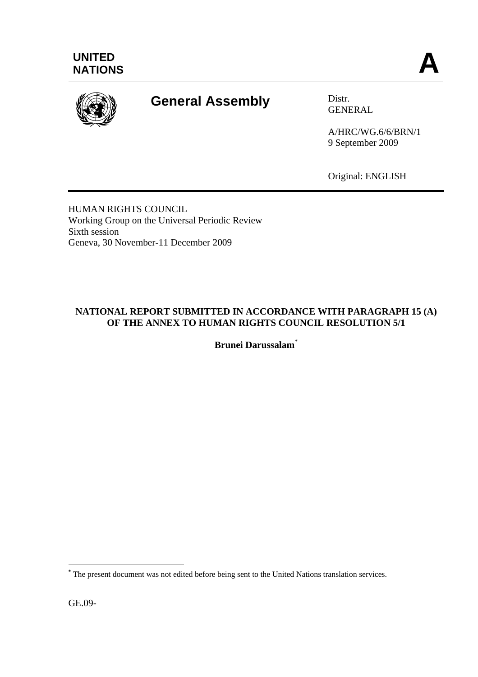

# **General Assembly** Distr.

GENERAL

A/HRC/WG.6/6/BRN/1 9 September 2009

Original: ENGLISH

HUMAN RIGHTS COUNCIL Working Group on the Universal Periodic Review Sixth session Geneva, 30 November-11 December 2009

## **NATIONAL REPORT SUBMITTED IN ACCORDANCE WITH PARAGRAPH 15 (A) OF THE ANNEX TO HUMAN RIGHTS COUNCIL RESOLUTION 5/1**

**Brunei Darussalam**\*

GE.09-

 $\overline{a}$ 

**<sup>\*</sup>** The present document was not edited before being sent to the United Nations translation services.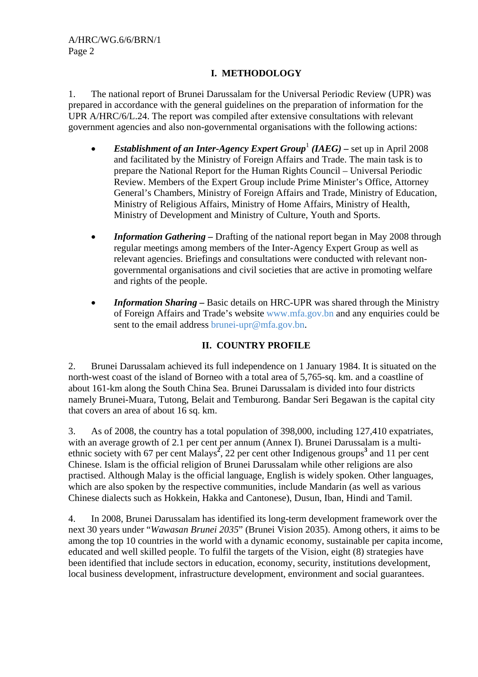## **I. METHODOLOGY**

1. The national report of Brunei Darussalam for the Universal Periodic Review (UPR) was prepared in accordance with the general guidelines on the preparation of information for the UPR A/HRC/6/L.24. The report was compiled after extensive consultations with relevant government agencies and also non-governmental organisations with the following actions:

- *Establishment of an Inter-Agency Expert Group*<sup>1</sup> (*IAEG*) set up in April 2008 and facilitated by the Ministry of Foreign Affairs and Trade. The main task is to prepare the National Report for the Human Rights Council – Universal Periodic Review. Members of the Expert Group include Prime Minister's Office, Attorney General's Chambers, Ministry of Foreign Affairs and Trade, Ministry of Education, Ministry of Religious Affairs, Ministry of Home Affairs, Ministry of Health, Ministry of Development and Ministry of Culture, Youth and Sports.
- *Information Gathering –* Drafting of the national report began in May 2008 through regular meetings among members of the Inter-Agency Expert Group as well as relevant agencies. Briefings and consultations were conducted with relevant nongovernmental organisations and civil societies that are active in promoting welfare and rights of the people.
- *Information Sharing* Basic details on HRC-UPR was shared through the Ministry of Foreign Affairs and Trade's website www.mfa.gov.bn and any enquiries could be sent to the email address brunei-upr@mfa.gov.bn.

## **II. COUNTRY PROFILE**

2. Brunei Darussalam achieved its full independence on 1 January 1984. It is situated on the north-west coast of the island of Borneo with a total area of 5,765-sq. km. and a coastline of about 161-km along the South China Sea. Brunei Darussalam is divided into four districts namely Brunei-Muara, Tutong, Belait and Temburong. Bandar Seri Begawan is the capital city that covers an area of about 16 sq. km.

3. As of 2008, the country has a total population of 398,000, including 127,410 expatriates, with an average growth of 2.1 per cent per annum (Annex I). Brunei Darussalam is a multiethnic society with 67 per cent Malays<sup>2</sup>, 22 per cent other Indigenous groups<sup>3</sup> and 11 per cent Chinese. Islam is the official religion of Brunei Darussalam while other religions are also practised. Although Malay is the official language, English is widely spoken. Other languages, which are also spoken by the respective communities, include Mandarin (as well as various Chinese dialects such as Hokkein, Hakka and Cantonese), Dusun, Iban, Hindi and Tamil.

4. In 2008, Brunei Darussalam has identified its long-term development framework over the next 30 years under "*Wawasan Brunei 2035*" (Brunei Vision 2035). Among others, it aims to be among the top 10 countries in the world with a dynamic economy, sustainable per capita income, educated and well skilled people. To fulfil the targets of the Vision, eight (8) strategies have been identified that include sectors in education, economy, security, institutions development, local business development, infrastructure development, environment and social guarantees.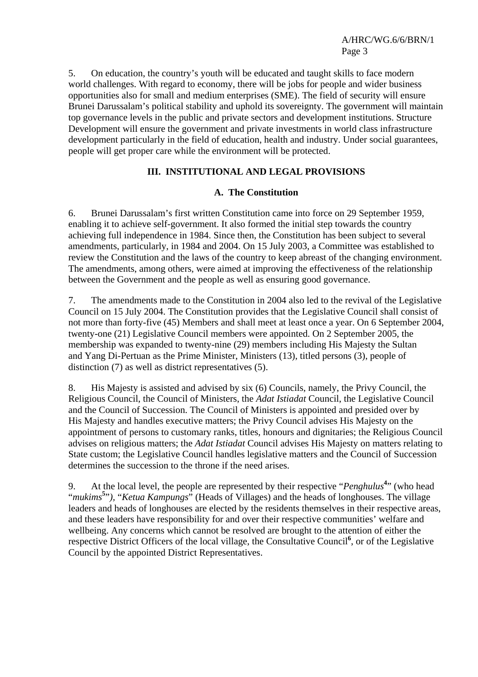5. On education, the country's youth will be educated and taught skills to face modern world challenges. With regard to economy, there will be jobs for people and wider business opportunities also for small and medium enterprises (SME). The field of security will ensure Brunei Darussalam's political stability and uphold its sovereignty. The government will maintain top governance levels in the public and private sectors and development institutions. Structure Development will ensure the government and private investments in world class infrastructure development particularly in the field of education, health and industry. Under social guarantees, people will get proper care while the environment will be protected.

#### **III. INSTITUTIONAL AND LEGAL PROVISIONS**

#### **A. The Constitution**

6. Brunei Darussalam's first written Constitution came into force on 29 September 1959, enabling it to achieve self-government. It also formed the initial step towards the country achieving full independence in 1984. Since then, the Constitution has been subject to several amendments, particularly, in 1984 and 2004. On 15 July 2003, a Committee was established to review the Constitution and the laws of the country to keep abreast of the changing environment. The amendments, among others, were aimed at improving the effectiveness of the relationship between the Government and the people as well as ensuring good governance.

7. The amendments made to the Constitution in 2004 also led to the revival of the Legislative Council on 15 July 2004. The Constitution provides that the Legislative Council shall consist of not more than forty-five (45) Members and shall meet at least once a year. On 6 September 2004, twenty-one (21) Legislative Council members were appointed. On 2 September 2005, the membership was expanded to twenty-nine (29) members including His Majesty the Sultan and Yang Di-Pertuan as the Prime Minister, Ministers (13), titled persons (3), people of distinction (7) as well as district representatives (5).

8. His Majesty is assisted and advised by six (6) Councils, namely, the Privy Council, the Religious Council, the Council of Ministers, the *Adat Istiadat* Council, the Legislative Council and the Council of Succession. The Council of Ministers is appointed and presided over by His Majesty and handles executive matters; the Privy Council advises His Majesty on the appointment of persons to customary ranks, titles, honours and dignitaries; the Religious Council advises on religious matters; the *Adat Istiadat* Council advises His Majesty on matters relating to State custom; the Legislative Council handles legislative matters and the Council of Succession determines the succession to the throne if the need arises.

9. At the local level, the people are represented by their respective "*Penghulus***<sup>4</sup>** " (who head "*mukims***<sup>5</sup>** "*),* "*Ketua Kampungs*" (Heads of Villages) and the heads of longhouses. The village leaders and heads of longhouses are elected by the residents themselves in their respective areas, and these leaders have responsibility for and over their respective communities' welfare and wellbeing. Any concerns which cannot be resolved are brought to the attention of either the respective District Officers of the local village, the Consultative Council<sup>6</sup>, or of the Legislative Council by the appointed District Representatives.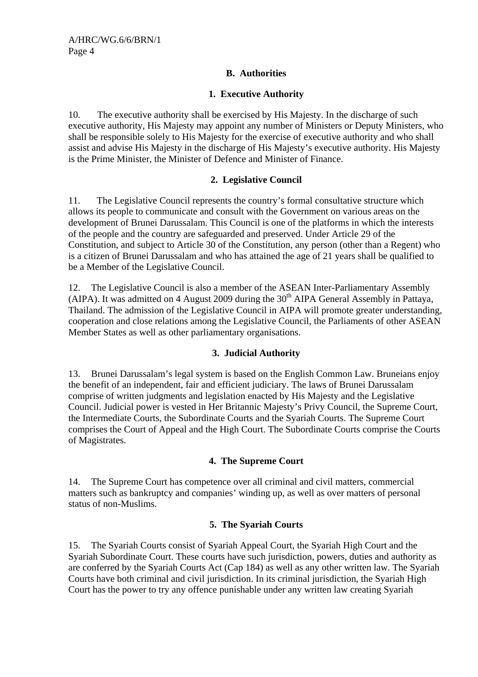## **B. Authorities**

## **1. Executive Authority**

10. The executive authority shall be exercised by His Majesty. In the discharge of such executive authority, His Majesty may appoint any number of Ministers or Deputy Ministers, who shall be responsible solely to His Majesty for the exercise of executive authority and who shall assist and advise His Majesty in the discharge of His Majesty's executive authority. His Majesty is the Prime Minister, the Minister of Defence and Minister of Finance.

## **2. Legislative Council**

11. The Legislative Council represents the country's formal consultative structure which allows its people to communicate and consult with the Government on various areas on the development of Brunei Darussalam. This Council is one of the platforms in which the interests of the people and the country are safeguarded and preserved. Under Article 29 of the Constitution, and subject to Article 30 of the Constitution, any person (other than a Regent) who is a citizen of Brunei Darussalam and who has attained the age of 21 years shall be qualified to be a Member of the Legislative Council.

12. The Legislative Council is also a member of the ASEAN Inter-Parliamentary Assembly (AIPA). It was admitted on 4 August 2009 during the  $30<sup>th</sup>$  AIPA General Assembly in Pattaya, Thailand. The admission of the Legislative Council in AIPA will promote greater understanding, cooperation and close relations among the Legislative Council, the Parliaments of other ASEAN Member States as well as other parliamentary organisations.

#### **3. Judicial Authority**

13. Brunei Darussalam's legal system is based on the English Common Law. Bruneians enjoy the benefit of an independent, fair and efficient judiciary. The laws of Brunei Darussalam comprise of written judgments and legislation enacted by His Majesty and the Legislative Council. Judicial power is vested in Her Britannic Majesty's Privy Council, the Supreme Court, the Intermediate Courts, the Subordinate Courts and the Syariah Courts. The Supreme Court comprises the Court of Appeal and the High Court. The Subordinate Courts comprise the Courts of Magistrates.

## **4. The Supreme Court**

14. The Supreme Court has competence over all criminal and civil matters, commercial matters such as bankruptcy and companies' winding up, as well as over matters of personal status of non-Muslims.

#### **5. The Syariah Courts**

15. The Syariah Courts consist of Syariah Appeal Court, the Syariah High Court and the Syariah Subordinate Court. These courts have such jurisdiction, powers, duties and authority as are conferred by the Syariah Courts Act (Cap 184) as well as any other written law. The Syariah Courts have both criminal and civil jurisdiction. In its criminal jurisdiction, the Syariah High Court has the power to try any offence punishable under any written law creating Syariah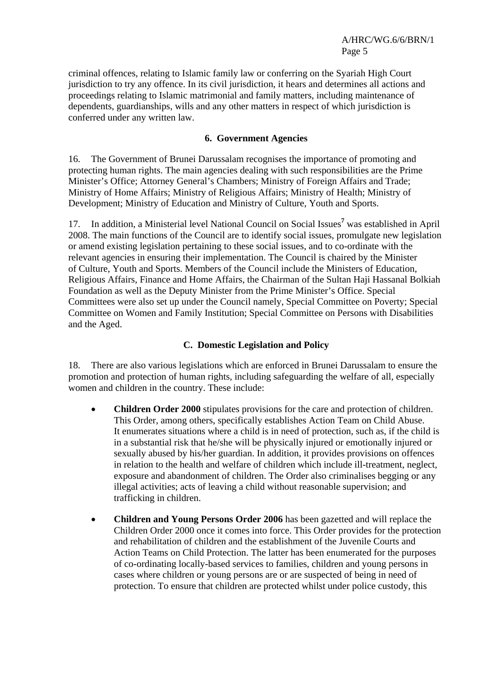criminal offences, relating to Islamic family law or conferring on the Syariah High Court jurisdiction to try any offence. In its civil jurisdiction, it hears and determines all actions and proceedings relating to Islamic matrimonial and family matters, including maintenance of dependents, guardianships, wills and any other matters in respect of which jurisdiction is conferred under any written law.

#### **6. Government Agencies**

16. The Government of Brunei Darussalam recognises the importance of promoting and protecting human rights. The main agencies dealing with such responsibilities are the Prime Minister's Office; Attorney General's Chambers; Ministry of Foreign Affairs and Trade; Ministry of Home Affairs; Ministry of Religious Affairs; Ministry of Health; Ministry of Development; Ministry of Education and Ministry of Culture, Youth and Sports.

17. In addition, a Ministerial level National Council on Social Issues<sup>7</sup> was established in April 2008. The main functions of the Council are to identify social issues, promulgate new legislation or amend existing legislation pertaining to these social issues, and to co-ordinate with the relevant agencies in ensuring their implementation. The Council is chaired by the Minister of Culture, Youth and Sports. Members of the Council include the Ministers of Education, Religious Affairs, Finance and Home Affairs, the Chairman of the Sultan Haji Hassanal Bolkiah Foundation as well as the Deputy Minister from the Prime Minister's Office. Special Committees were also set up under the Council namely, Special Committee on Poverty; Special Committee on Women and Family Institution; Special Committee on Persons with Disabilities and the Aged.

#### **C. Domestic Legislation and Policy**

18. There are also various legislations which are enforced in Brunei Darussalam to ensure the promotion and protection of human rights, including safeguarding the welfare of all, especially women and children in the country. These include:

- **Children Order 2000** stipulates provisions for the care and protection of children. This Order, among others, specifically establishes Action Team on Child Abuse. It enumerates situations where a child is in need of protection, such as, if the child is in a substantial risk that he/she will be physically injured or emotionally injured or sexually abused by his/her guardian. In addition, it provides provisions on offences in relation to the health and welfare of children which include ill-treatment, neglect, exposure and abandonment of children. The Order also criminalises begging or any illegal activities; acts of leaving a child without reasonable supervision; and trafficking in children.
- **Children and Young Persons Order 2006** has been gazetted and will replace the Children Order 2000 once it comes into force. This Order provides for the protection and rehabilitation of children and the establishment of the Juvenile Courts and Action Teams on Child Protection. The latter has been enumerated for the purposes of co-ordinating locally-based services to families, children and young persons in cases where children or young persons are or are suspected of being in need of protection. To ensure that children are protected whilst under police custody, this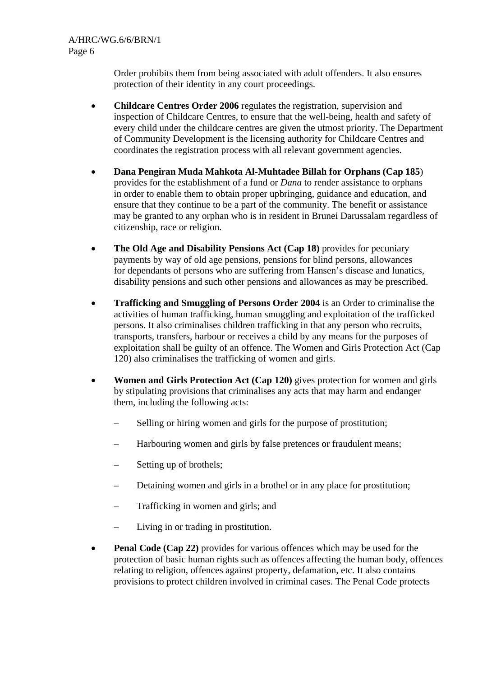Order prohibits them from being associated with adult offenders. It also ensures protection of their identity in any court proceedings.

- **Childcare Centres Order 2006** regulates the registration, supervision and inspection of Childcare Centres, to ensure that the well-being, health and safety of every child under the childcare centres are given the utmost priority. The Department of Community Development is the licensing authority for Childcare Centres and coordinates the registration process with all relevant government agencies.
- **Dana Pengiran Muda Mahkota Al-Muhtadee Billah for Orphans (Cap 185**) provides for the establishment of a fund or *Dana* to render assistance to orphans in order to enable them to obtain proper upbringing, guidance and education, and ensure that they continue to be a part of the community. The benefit or assistance may be granted to any orphan who is in resident in Brunei Darussalam regardless of citizenship, race or religion.
- **The Old Age and Disability Pensions Act (Cap 18)** provides for pecuniary payments by way of old age pensions, pensions for blind persons, allowances for dependants of persons who are suffering from Hansen's disease and lunatics, disability pensions and such other pensions and allowances as may be prescribed.
- **Trafficking and Smuggling of Persons Order 2004** is an Order to criminalise the activities of human trafficking, human smuggling and exploitation of the trafficked persons. It also criminalises children trafficking in that any person who recruits, transports, transfers, harbour or receives a child by any means for the purposes of exploitation shall be guilty of an offence. The Women and Girls Protection Act (Cap 120) also criminalises the trafficking of women and girls.
- **Women and Girls Protection Act (Cap 120)** gives protection for women and girls by stipulating provisions that criminalises any acts that may harm and endanger them, including the following acts:
	- Selling or hiring women and girls for the purpose of prostitution;
	- Harbouring women and girls by false pretences or fraudulent means;
	- Setting up of brothels;
	- Detaining women and girls in a brothel or in any place for prostitution;
	- Trafficking in women and girls; and
	- Living in or trading in prostitution.
- **Penal Code (Cap 22)** provides for various offences which may be used for the protection of basic human rights such as offences affecting the human body, offences relating to religion, offences against property, defamation, etc. It also contains provisions to protect children involved in criminal cases. The Penal Code protects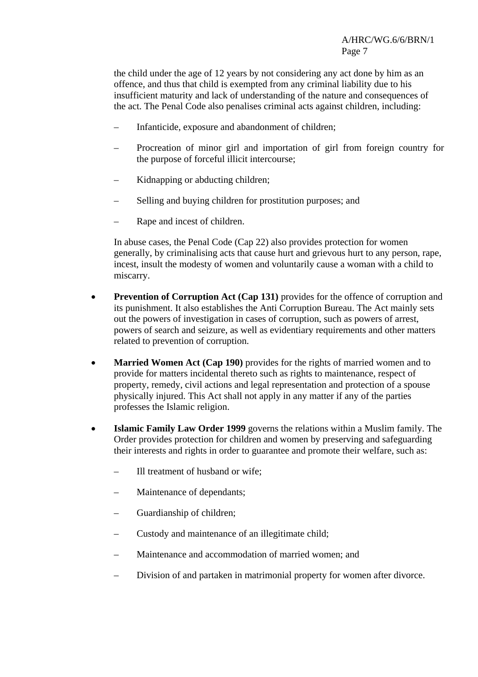the child under the age of 12 years by not considering any act done by him as an offence, and thus that child is exempted from any criminal liability due to his insufficient maturity and lack of understanding of the nature and consequences of the act. The Penal Code also penalises criminal acts against children, including:

- Infanticide, exposure and abandonment of children;
- Procreation of minor girl and importation of girl from foreign country for the purpose of forceful illicit intercourse;
- Kidnapping or abducting children;
- Selling and buying children for prostitution purposes; and
- Rape and incest of children.

In abuse cases, the Penal Code (Cap 22) also provides protection for women generally, by criminalising acts that cause hurt and grievous hurt to any person, rape, incest, insult the modesty of women and voluntarily cause a woman with a child to miscarry.

- **Prevention of Corruption Act (Cap 131)** provides for the offence of corruption and its punishment. It also establishes the Anti Corruption Bureau. The Act mainly sets out the powers of investigation in cases of corruption, such as powers of arrest, powers of search and seizure, as well as evidentiary requirements and other matters related to prevention of corruption.
- **Married Women Act (Cap 190)** provides for the rights of married women and to provide for matters incidental thereto such as rights to maintenance, respect of property, remedy, civil actions and legal representation and protection of a spouse physically injured. This Act shall not apply in any matter if any of the parties professes the Islamic religion.
- **Islamic Family Law Order 1999** governs the relations within a Muslim family. The Order provides protection for children and women by preserving and safeguarding their interests and rights in order to guarantee and promote their welfare, such as:
	- Ill treatment of husband or wife;
	- Maintenance of dependants;
	- Guardianship of children;
	- Custody and maintenance of an illegitimate child;
	- Maintenance and accommodation of married women; and
	- Division of and partaken in matrimonial property for women after divorce.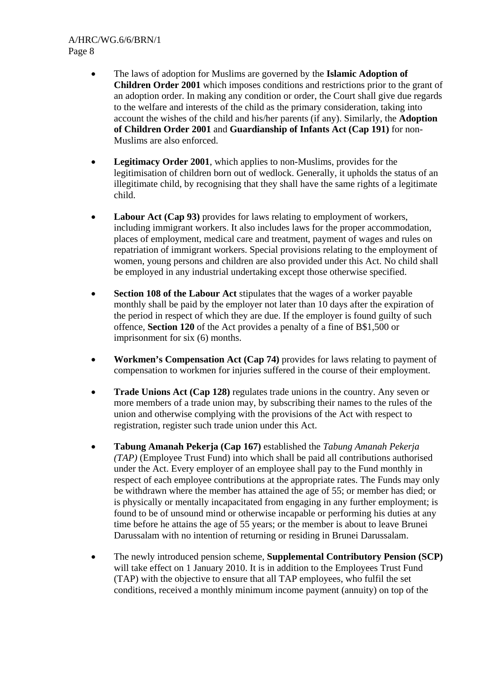- The laws of adoption for Muslims are governed by the **Islamic Adoption of Children Order 2001** which imposes conditions and restrictions prior to the grant of an adoption order. In making any condition or order, the Court shall give due regards to the welfare and interests of the child as the primary consideration, taking into account the wishes of the child and his/her parents (if any). Similarly, the **Adoption of Children Order 2001** and **Guardianship of Infants Act (Cap 191)** for non-Muslims are also enforced.
- **Legitimacy Order 2001**, which applies to non-Muslims, provides for the legitimisation of children born out of wedlock. Generally, it upholds the status of an illegitimate child, by recognising that they shall have the same rights of a legitimate child.
- **Labour Act (Cap 93)** provides for laws relating to employment of workers, including immigrant workers. It also includes laws for the proper accommodation, places of employment, medical care and treatment, payment of wages and rules on repatriation of immigrant workers. Special provisions relating to the employment of women, young persons and children are also provided under this Act. No child shall be employed in any industrial undertaking except those otherwise specified.
- **Section 108 of the Labour Act** stipulates that the wages of a worker payable monthly shall be paid by the employer not later than 10 days after the expiration of the period in respect of which they are due. If the employer is found guilty of such offence, **Section 120** of the Act provides a penalty of a fine of B\$1,500 or imprisonment for six (6) months.
- **Workmen's Compensation Act (Cap 74)** provides for laws relating to payment of compensation to workmen for injuries suffered in the course of their employment.
- **Trade Unions Act (Cap 128)** regulates trade unions in the country. Any seven or more members of a trade union may, by subscribing their names to the rules of the union and otherwise complying with the provisions of the Act with respect to registration, register such trade union under this Act.
- **Tabung Amanah Pekerja (Cap 167)** established the *Tabung Amanah Pekerja (TAP)* (Employee Trust Fund) into which shall be paid all contributions authorised under the Act. Every employer of an employee shall pay to the Fund monthly in respect of each employee contributions at the appropriate rates. The Funds may only be withdrawn where the member has attained the age of 55; or member has died; or is physically or mentally incapacitated from engaging in any further employment; is found to be of unsound mind or otherwise incapable or performing his duties at any time before he attains the age of 55 years; or the member is about to leave Brunei Darussalam with no intention of returning or residing in Brunei Darussalam.
- The newly introduced pension scheme, **Supplemental Contributory Pension (SCP)** will take effect on 1 January 2010. It is in addition to the Employees Trust Fund (TAP) with the objective to ensure that all TAP employees, who fulfil the set conditions, received a monthly minimum income payment (annuity) on top of the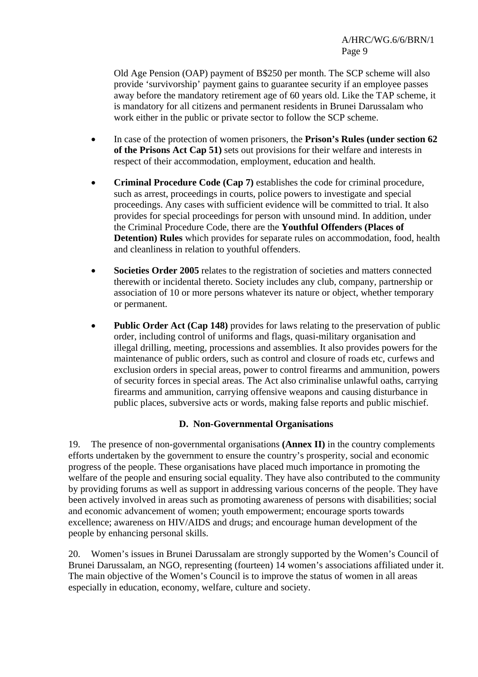Old Age Pension (OAP) payment of B\$250 per month. The SCP scheme will also provide 'survivorship' payment gains to guarantee security if an employee passes away before the mandatory retirement age of 60 years old. Like the TAP scheme, it is mandatory for all citizens and permanent residents in Brunei Darussalam who work either in the public or private sector to follow the SCP scheme.

- In case of the protection of women prisoners, the **Prison's Rules (under section 62 of the Prisons Act Cap 51)** sets out provisions for their welfare and interests in respect of their accommodation, employment, education and health.
- **Criminal Procedure Code (Cap 7)** establishes the code for criminal procedure, such as arrest, proceedings in courts, police powers to investigate and special proceedings. Any cases with sufficient evidence will be committed to trial. It also provides for special proceedings for person with unsound mind. In addition, under the Criminal Procedure Code, there are the **Youthful Offenders (Places of Detention) Rules** which provides for separate rules on accommodation, food, health and cleanliness in relation to youthful offenders.
- **Societies Order 2005** relates to the registration of societies and matters connected therewith or incidental thereto. Society includes any club, company, partnership or association of 10 or more persons whatever its nature or object, whether temporary or permanent.
- **Public Order Act (Cap 148)** provides for laws relating to the preservation of public order, including control of uniforms and flags, quasi-military organisation and illegal drilling, meeting, processions and assemblies. It also provides powers for the maintenance of public orders, such as control and closure of roads etc, curfews and exclusion orders in special areas, power to control firearms and ammunition, powers of security forces in special areas. The Act also criminalise unlawful oaths, carrying firearms and ammunition, carrying offensive weapons and causing disturbance in public places, subversive acts or words, making false reports and public mischief.

#### **D. Non-Governmental Organisations**

19. The presence of non-governmental organisations **(Annex II)** in the country complements efforts undertaken by the government to ensure the country's prosperity, social and economic progress of the people. These organisations have placed much importance in promoting the welfare of the people and ensuring social equality. They have also contributed to the community by providing forums as well as support in addressing various concerns of the people. They have been actively involved in areas such as promoting awareness of persons with disabilities; social and economic advancement of women; youth empowerment; encourage sports towards excellence; awareness on HIV/AIDS and drugs; and encourage human development of the people by enhancing personal skills.

20. Women's issues in Brunei Darussalam are strongly supported by the Women's Council of Brunei Darussalam, an NGO, representing (fourteen) 14 women's associations affiliated under it. The main objective of the Women's Council is to improve the status of women in all areas especially in education, economy, welfare, culture and society.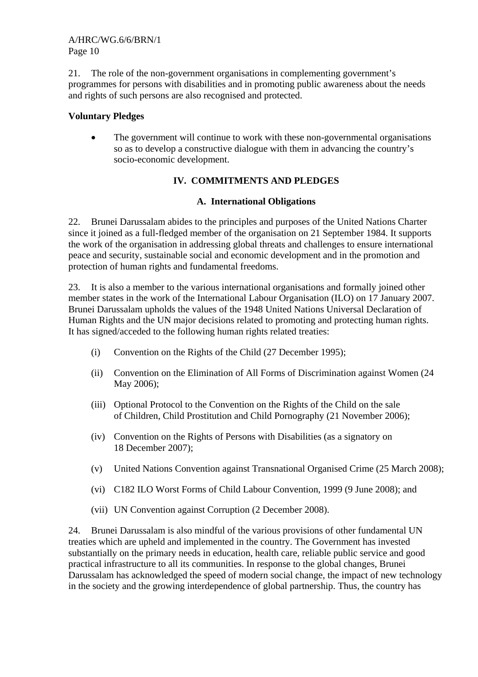21. The role of the non-government organisations in complementing government's programmes for persons with disabilities and in promoting public awareness about the needs and rights of such persons are also recognised and protected.

## **Voluntary Pledges**

• The government will continue to work with these non-governmental organisations so as to develop a constructive dialogue with them in advancing the country's socio-economic development.

# **IV. COMMITMENTS AND PLEDGES**

## **A. International Obligations**

22. Brunei Darussalam abides to the principles and purposes of the United Nations Charter since it joined as a full-fledged member of the organisation on 21 September 1984. It supports the work of the organisation in addressing global threats and challenges to ensure international peace and security, sustainable social and economic development and in the promotion and protection of human rights and fundamental freedoms.

23. It is also a member to the various international organisations and formally joined other member states in the work of the International Labour Organisation (ILO) on 17 January 2007. Brunei Darussalam upholds the values of the 1948 United Nations Universal Declaration of Human Rights and the UN major decisions related to promoting and protecting human rights. It has signed/acceded to the following human rights related treaties:

- (i) Convention on the Rights of the Child (27 December 1995);
- (ii) Convention on the Elimination of All Forms of Discrimination against Women (24 May 2006);
- (iii) Optional Protocol to the Convention on the Rights of the Child on the sale of Children, Child Prostitution and Child Pornography (21 November 2006);
- (iv) Convention on the Rights of Persons with Disabilities (as a signatory on 18 December 2007);
- (v) United Nations Convention against Transnational Organised Crime (25 March 2008);
- (vi) C182 ILO Worst Forms of Child Labour Convention, 1999 (9 June 2008); and
- (vii) UN Convention against Corruption (2 December 2008).

24. Brunei Darussalam is also mindful of the various provisions of other fundamental UN treaties which are upheld and implemented in the country. The Government has invested substantially on the primary needs in education, health care, reliable public service and good practical infrastructure to all its communities. In response to the global changes, Brunei Darussalam has acknowledged the speed of modern social change, the impact of new technology in the society and the growing interdependence of global partnership. Thus, the country has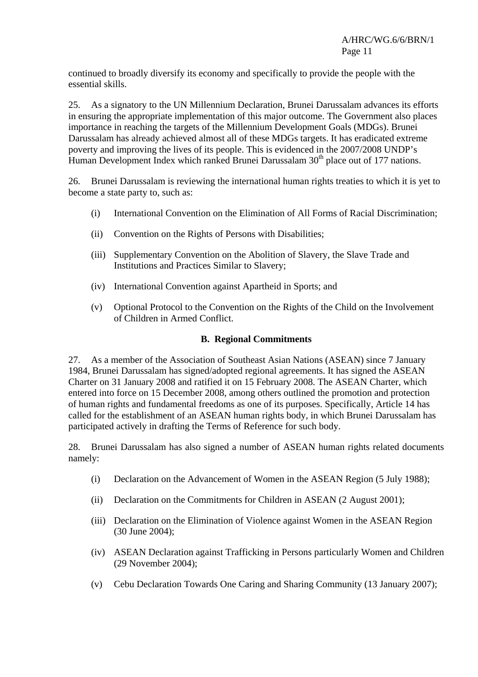continued to broadly diversify its economy and specifically to provide the people with the essential skills.

25. As a signatory to the UN Millennium Declaration, Brunei Darussalam advances its efforts in ensuring the appropriate implementation of this major outcome. The Government also places importance in reaching the targets of the Millennium Development Goals (MDGs). Brunei Darussalam has already achieved almost all of these MDGs targets. It has eradicated extreme poverty and improving the lives of its people. This is evidenced in the 2007/2008 UNDP's Human Development Index which ranked Brunei Darussalam 30<sup>th</sup> place out of 177 nations.

26. Brunei Darussalam is reviewing the international human rights treaties to which it is yet to become a state party to, such as:

- (i) International Convention on the Elimination of All Forms of Racial Discrimination;
- (ii) Convention on the Rights of Persons with Disabilities;
- (iii) Supplementary Convention on the Abolition of Slavery, the Slave Trade and Institutions and Practices Similar to Slavery;
- (iv) International Convention against Apartheid in Sports; and
- (v) Optional Protocol to the Convention on the Rights of the Child on the Involvement of Children in Armed Conflict.

#### **B. Regional Commitments**

27. As a member of the Association of Southeast Asian Nations (ASEAN) since 7 January 1984, Brunei Darussalam has signed/adopted regional agreements. It has signed the ASEAN Charter on 31 January 2008 and ratified it on 15 February 2008. The ASEAN Charter, which entered into force on 15 December 2008, among others outlined the promotion and protection of human rights and fundamental freedoms as one of its purposes. Specifically, Article 14 has called for the establishment of an ASEAN human rights body, in which Brunei Darussalam has participated actively in drafting the Terms of Reference for such body.

28. Brunei Darussalam has also signed a number of ASEAN human rights related documents namely:

- (i) Declaration on the Advancement of Women in the ASEAN Region (5 July 1988);
- (ii) Declaration on the Commitments for Children in ASEAN (2 August 2001);
- (iii) Declaration on the Elimination of Violence against Women in the ASEAN Region (30 June 2004);
- (iv) ASEAN Declaration against Trafficking in Persons particularly Women and Children (29 November 2004);
- (v) Cebu Declaration Towards One Caring and Sharing Community (13 January 2007);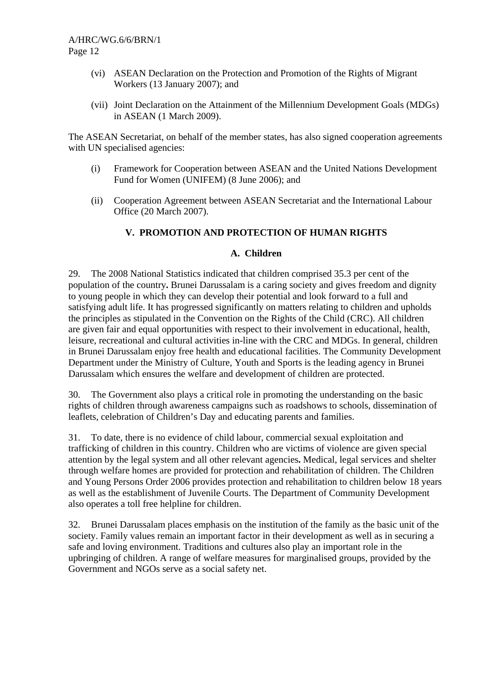- (vi) ASEAN Declaration on the Protection and Promotion of the Rights of Migrant Workers (13 January 2007); and
- (vii) Joint Declaration on the Attainment of the Millennium Development Goals (MDGs) in ASEAN (1 March 2009).

The ASEAN Secretariat, on behalf of the member states, has also signed cooperation agreements with UN specialised agencies:

- (i) Framework for Cooperation between ASEAN and the United Nations Development Fund for Women (UNIFEM) (8 June 2006); and
- (ii) Cooperation Agreement between ASEAN Secretariat and the International Labour Office (20 March 2007).

## **V. PROMOTION AND PROTECTION OF HUMAN RIGHTS**

#### **A. Children**

29. The 2008 National Statistics indicated that children comprised 35.3 per cent of the population of the country**.** Brunei Darussalam is a caring society and gives freedom and dignity to young people in which they can develop their potential and look forward to a full and satisfying adult life. It has progressed significantly on matters relating to children and upholds the principles as stipulated in the Convention on the Rights of the Child (CRC). All children are given fair and equal opportunities with respect to their involvement in educational, health, leisure, recreational and cultural activities in-line with the CRC and MDGs. In general, children in Brunei Darussalam enjoy free health and educational facilities. The Community Development Department under the Ministry of Culture, Youth and Sports is the leading agency in Brunei Darussalam which ensures the welfare and development of children are protected.

30. The Government also plays a critical role in promoting the understanding on the basic rights of children through awareness campaigns such as roadshows to schools, dissemination of leaflets, celebration of Children's Day and educating parents and families.

31. To date, there is no evidence of child labour, commercial sexual exploitation and trafficking of children in this country. Children who are victims of violence are given special attention by the legal system and all other relevant agencies**.** Medical, legal services and shelter through welfare homes are provided for protection and rehabilitation of children. The Children and Young Persons Order 2006 provides protection and rehabilitation to children below 18 years as well as the establishment of Juvenile Courts. The Department of Community Development also operates a toll free helpline for children.

32. Brunei Darussalam places emphasis on the institution of the family as the basic unit of the society. Family values remain an important factor in their development as well as in securing a safe and loving environment. Traditions and cultures also play an important role in the upbringing of children. A range of welfare measures for marginalised groups, provided by the Government and NGOs serve as a social safety net.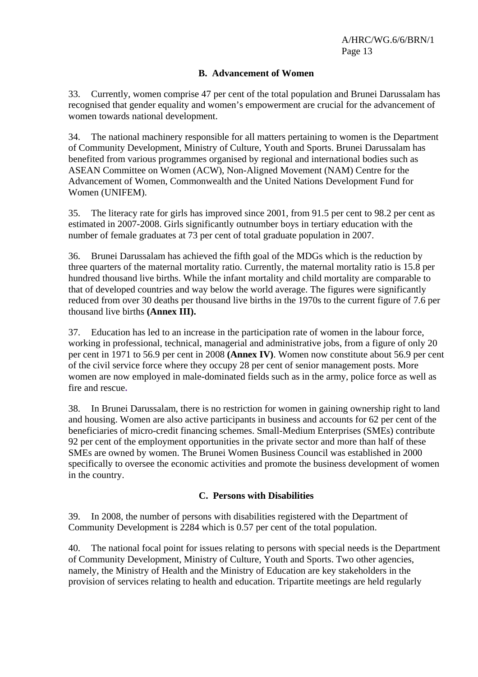#### **B. Advancement of Women**

33. Currently, women comprise 47 per cent of the total population and Brunei Darussalam has recognised that gender equality and women's empowerment are crucial for the advancement of women towards national development.

34. The national machinery responsible for all matters pertaining to women is the Department of Community Development, Ministry of Culture, Youth and Sports. Brunei Darussalam has benefited from various programmes organised by regional and international bodies such as ASEAN Committee on Women (ACW), Non-Aligned Movement (NAM) Centre for the Advancement of Women, Commonwealth and the United Nations Development Fund for Women (UNIFEM).

35. The literacy rate for girls has improved since 2001, from 91.5 per cent to 98.2 per cent as estimated in 2007-2008. Girls significantly outnumber boys in tertiary education with the number of female graduates at 73 per cent of total graduate population in 2007.

36. Brunei Darussalam has achieved the fifth goal of the MDGs which is the reduction by three quarters of the maternal mortality ratio. Currently, the maternal mortality ratio is 15.8 per hundred thousand live births. While the infant mortality and child mortality are comparable to that of developed countries and way below the world average. The figures were significantly reduced from over 30 deaths per thousand live births in the 1970s to the current figure of 7.6 per thousand live births **(Annex III).**

37. Education has led to an increase in the participation rate of women in the labour force, working in professional, technical, managerial and administrative jobs, from a figure of only 20 per cent in 1971 to 56.9 per cent in 2008 **(Annex IV)**. Women now constitute about 56.9 per cent of the civil service force where they occupy 28 per cent of senior management posts. More women are now employed in male-dominated fields such as in the army, police force as well as fire and rescue**.** 

38. In Brunei Darussalam, there is no restriction for women in gaining ownership right to land and housing. Women are also active participants in business and accounts for 62 per cent of the beneficiaries of micro-credit financing schemes. Small-Medium Enterprises (SMEs) contribute 92 per cent of the employment opportunities in the private sector and more than half of these SMEs are owned by women. The Brunei Women Business Council was established in 2000 specifically to oversee the economic activities and promote the business development of women in the country.

#### **C. Persons with Disabilities**

39. In 2008, the number of persons with disabilities registered with the Department of Community Development is 2284 which is 0.57 per cent of the total population.

40. The national focal point for issues relating to persons with special needs is the Department of Community Development, Ministry of Culture, Youth and Sports. Two other agencies, namely, the Ministry of Health and the Ministry of Education are key stakeholders in the provision of services relating to health and education. Tripartite meetings are held regularly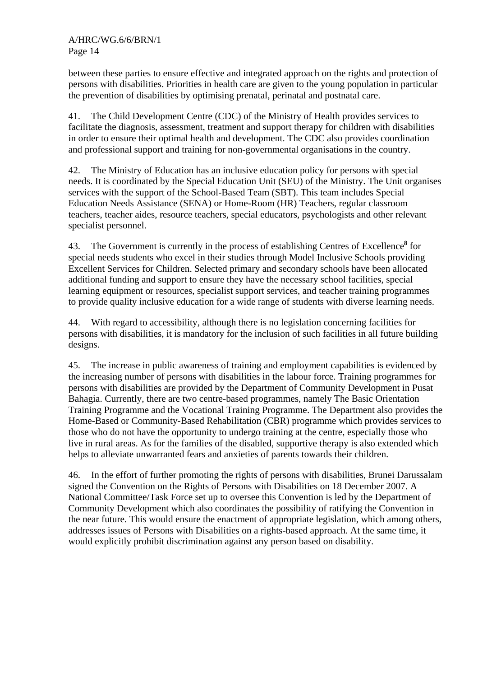between these parties to ensure effective and integrated approach on the rights and protection of persons with disabilities. Priorities in health care are given to the young population in particular the prevention of disabilities by optimising prenatal, perinatal and postnatal care.

41. The Child Development Centre (CDC) of the Ministry of Health provides services to facilitate the diagnosis, assessment, treatment and support therapy for children with disabilities in order to ensure their optimal health and development. The CDC also provides coordination and professional support and training for non-governmental organisations in the country.

42. The Ministry of Education has an inclusive education policy for persons with special needs. It is coordinated by the Special Education Unit (SEU) of the Ministry. The Unit organises services with the support of the School-Based Team (SBT). This team includes Special Education Needs Assistance (SENA) or Home-Room (HR) Teachers, regular classroom teachers, teacher aides, resource teachers, special educators, psychologists and other relevant specialist personnel.

43. The Government is currently in the process of establishing Centres of Excellence**<sup>8</sup>** for special needs students who excel in their studies through Model Inclusive Schools providing Excellent Services for Children. Selected primary and secondary schools have been allocated additional funding and support to ensure they have the necessary school facilities, special learning equipment or resources, specialist support services, and teacher training programmes to provide quality inclusive education for a wide range of students with diverse learning needs.

44. With regard to accessibility, although there is no legislation concerning facilities for persons with disabilities, it is mandatory for the inclusion of such facilities in all future building designs.

45. The increase in public awareness of training and employment capabilities is evidenced by the increasing number of persons with disabilities in the labour force. Training programmes for persons with disabilities are provided by the Department of Community Development in Pusat Bahagia. Currently, there are two centre-based programmes, namely The Basic Orientation Training Programme and the Vocational Training Programme. The Department also provides the Home-Based or Community-Based Rehabilitation (CBR) programme which provides services to those who do not have the opportunity to undergo training at the centre, especially those who live in rural areas. As for the families of the disabled, supportive therapy is also extended which helps to alleviate unwarranted fears and anxieties of parents towards their children.

46. In the effort of further promoting the rights of persons with disabilities, Brunei Darussalam signed the Convention on the Rights of Persons with Disabilities on 18 December 2007. A National Committee/Task Force set up to oversee this Convention is led by the Department of Community Development which also coordinates the possibility of ratifying the Convention in the near future. This would ensure the enactment of appropriate legislation, which among others, addresses issues of Persons with Disabilities on a rights-based approach. At the same time, it would explicitly prohibit discrimination against any person based on disability.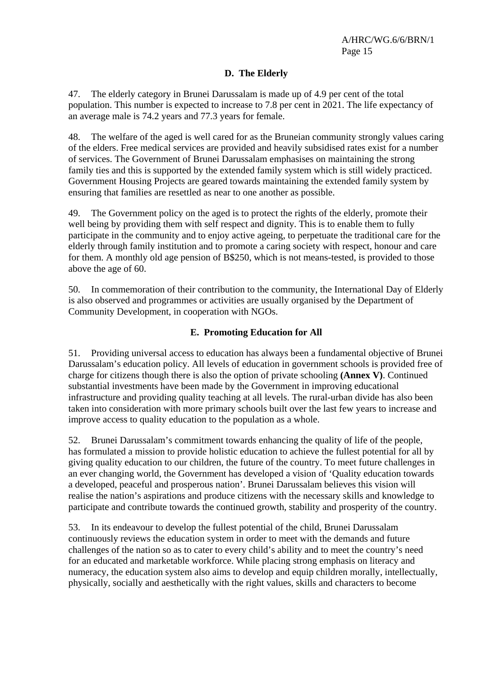## **D. The Elderly**

47. The elderly category in Brunei Darussalam is made up of 4.9 per cent of the total population. This number is expected to increase to 7.8 per cent in 2021. The life expectancy of an average male is 74.2 years and 77.3 years for female.

48. The welfare of the aged is well cared for as the Bruneian community strongly values caring of the elders. Free medical services are provided and heavily subsidised rates exist for a number of services. The Government of Brunei Darussalam emphasises on maintaining the strong family ties and this is supported by the extended family system which is still widely practiced. Government Housing Projects are geared towards maintaining the extended family system by ensuring that families are resettled as near to one another as possible.

49. The Government policy on the aged is to protect the rights of the elderly, promote their well being by providing them with self respect and dignity. This is to enable them to fully participate in the community and to enjoy active ageing, to perpetuate the traditional care for the elderly through family institution and to promote a caring society with respect, honour and care for them. A monthly old age pension of B\$250, which is not means-tested, is provided to those above the age of 60.

50. In commemoration of their contribution to the community, the International Day of Elderly is also observed and programmes or activities are usually organised by the Department of Community Development, in cooperation with NGOs.

#### **E. Promoting Education for All**

51. Providing universal access to education has always been a fundamental objective of Brunei Darussalam's education policy. All levels of education in government schools is provided free of charge for citizens though there is also the option of private schooling **(Annex V)**. Continued substantial investments have been made by the Government in improving educational infrastructure and providing quality teaching at all levels. The rural-urban divide has also been taken into consideration with more primary schools built over the last few years to increase and improve access to quality education to the population as a whole.

52. Brunei Darussalam's commitment towards enhancing the quality of life of the people, has formulated a mission to provide holistic education to achieve the fullest potential for all by giving quality education to our children, the future of the country. To meet future challenges in an ever changing world, the Government has developed a vision of 'Quality education towards a developed, peaceful and prosperous nation'. Brunei Darussalam believes this vision will realise the nation's aspirations and produce citizens with the necessary skills and knowledge to participate and contribute towards the continued growth, stability and prosperity of the country.

53. In its endeavour to develop the fullest potential of the child, Brunei Darussalam continuously reviews the education system in order to meet with the demands and future challenges of the nation so as to cater to every child's ability and to meet the country's need for an educated and marketable workforce. While placing strong emphasis on literacy and numeracy, the education system also aims to develop and equip children morally, intellectually, physically, socially and aesthetically with the right values, skills and characters to become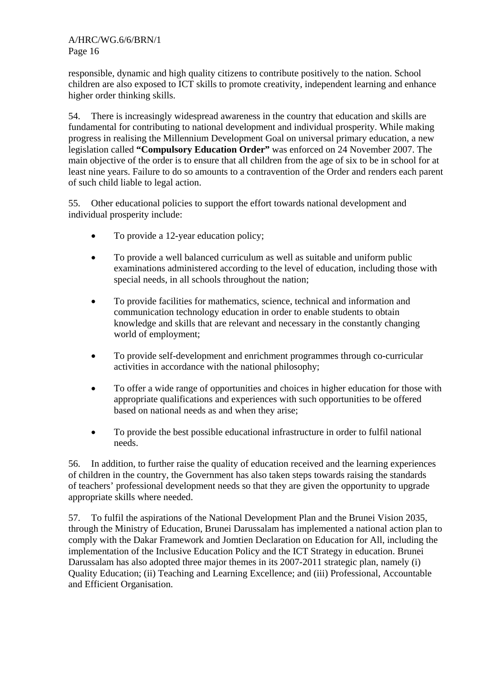responsible, dynamic and high quality citizens to contribute positively to the nation. School children are also exposed to ICT skills to promote creativity, independent learning and enhance higher order thinking skills.

54. There is increasingly widespread awareness in the country that education and skills are fundamental for contributing to national development and individual prosperity. While making progress in realising the Millennium Development Goal on universal primary education, a new legislation called **"Compulsory Education Order"** was enforced on 24 November 2007. The main objective of the order is to ensure that all children from the age of six to be in school for at least nine years. Failure to do so amounts to a contravention of the Order and renders each parent of such child liable to legal action.

55. Other educational policies to support the effort towards national development and individual prosperity include:

- To provide a 12-year education policy;
- To provide a well balanced curriculum as well as suitable and uniform public examinations administered according to the level of education, including those with special needs, in all schools throughout the nation;
- To provide facilities for mathematics, science, technical and information and communication technology education in order to enable students to obtain knowledge and skills that are relevant and necessary in the constantly changing world of employment;
- To provide self-development and enrichment programmes through co-curricular activities in accordance with the national philosophy;
- To offer a wide range of opportunities and choices in higher education for those with appropriate qualifications and experiences with such opportunities to be offered based on national needs as and when they arise;
- To provide the best possible educational infrastructure in order to fulfil national needs.

56. In addition, to further raise the quality of education received and the learning experiences of children in the country, the Government has also taken steps towards raising the standards of teachers' professional development needs so that they are given the opportunity to upgrade appropriate skills where needed.

57. To fulfil the aspirations of the National Development Plan and the Brunei Vision 2035, through the Ministry of Education, Brunei Darussalam has implemented a national action plan to comply with the Dakar Framework and Jomtien Declaration on Education for All, including the implementation of the Inclusive Education Policy and the ICT Strategy in education. Brunei Darussalam has also adopted three major themes in its 2007-2011 strategic plan, namely (i) Quality Education; (ii) Teaching and Learning Excellence; and (iii) Professional, Accountable and Efficient Organisation.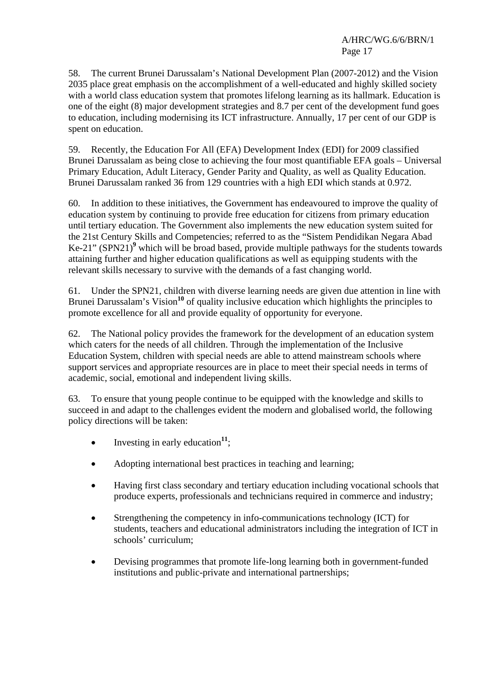58. The current Brunei Darussalam's National Development Plan (2007-2012) and the Vision 2035 place great emphasis on the accomplishment of a well-educated and highly skilled society with a world class education system that promotes lifelong learning as its hallmark. Education is one of the eight (8) major development strategies and 8.7 per cent of the development fund goes to education, including modernising its ICT infrastructure. Annually, 17 per cent of our GDP is spent on education.

59. Recently, the Education For All (EFA) Development Index (EDI) for 2009 classified Brunei Darussalam as being close to achieving the four most quantifiable EFA goals – Universal Primary Education, Adult Literacy, Gender Parity and Quality, as well as Quality Education. Brunei Darussalam ranked 36 from 129 countries with a high EDI which stands at 0.972.

60. In addition to these initiatives, the Government has endeavoured to improve the quality of education system by continuing to provide free education for citizens from primary education until tertiary education. The Government also implements the new education system suited for the 21st Century Skills and Competencies; referred to as the "Sistem Pendidikan Negara Abad Ke-21" (SPN21)<sup>9</sup> which will be broad based, provide multiple pathways for the students towards attaining further and higher education qualifications as well as equipping students with the relevant skills necessary to survive with the demands of a fast changing world.

61. Under the SPN21, children with diverse learning needs are given due attention in line with Brunei Darussalam's Vision<sup>10</sup> of quality inclusive education which highlights the principles to promote excellence for all and provide equality of opportunity for everyone.

62. The National policy provides the framework for the development of an education system which caters for the needs of all children. Through the implementation of the Inclusive Education System, children with special needs are able to attend mainstream schools where support services and appropriate resources are in place to meet their special needs in terms of academic, social, emotional and independent living skills.

63. To ensure that young people continue to be equipped with the knowledge and skills to succeed in and adapt to the challenges evident the modern and globalised world, the following policy directions will be taken:

- Investing in early education<sup>11</sup>;
- Adopting international best practices in teaching and learning;
- Having first class secondary and tertiary education including vocational schools that produce experts, professionals and technicians required in commerce and industry;
- Strengthening the competency in info-communications technology (ICT) for students, teachers and educational administrators including the integration of ICT in schools' curriculum;
- Devising programmes that promote life-long learning both in government-funded institutions and public-private and international partnerships;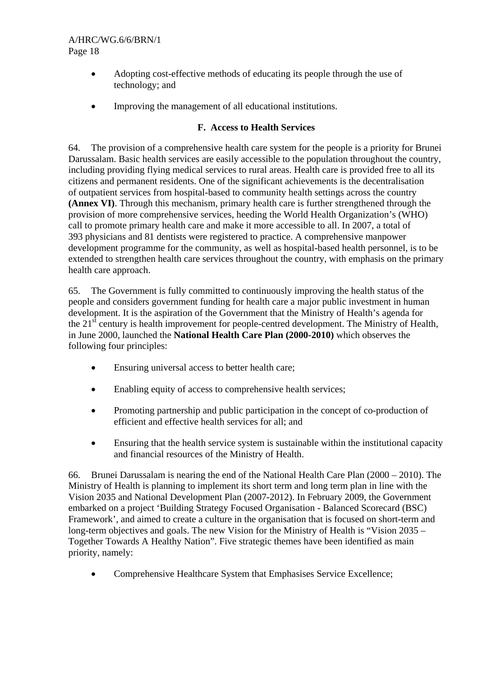- Adopting cost-effective methods of educating its people through the use of technology; and
- Improving the management of all educational institutions.

## **F. Access to Health Services**

64. The provision of a comprehensive health care system for the people is a priority for Brunei Darussalam. Basic health services are easily accessible to the population throughout the country, including providing flying medical services to rural areas. Health care is provided free to all its citizens and permanent residents. One of the significant achievements is the decentralisation of outpatient services from hospital-based to community health settings across the country **(Annex VI)**. Through this mechanism, primary health care is further strengthened through the provision of more comprehensive services, heeding the World Health Organization's (WHO) call to promote primary health care and make it more accessible to all. In 2007, a total of 393 physicians and 81 dentists were registered to practice. A comprehensive manpower development programme for the community, as well as hospital-based health personnel, is to be extended to strengthen health care services throughout the country, with emphasis on the primary health care approach.

65. The Government is fully committed to continuously improving the health status of the people and considers government funding for health care a major public investment in human development. It is the aspiration of the Government that the Ministry of Health's agenda for the  $21<sup>st</sup>$  century is health improvement for people-centred development. The Ministry of Health, in June 2000, launched the **National Health Care Plan (2000-2010)** which observes the following four principles:

- Ensuring universal access to better health care;
- Enabling equity of access to comprehensive health services;
- Promoting partnership and public participation in the concept of co-production of efficient and effective health services for all; and
- Ensuring that the health service system is sustainable within the institutional capacity and financial resources of the Ministry of Health.

66. Brunei Darussalam is nearing the end of the National Health Care Plan (2000 – 2010). The Ministry of Health is planning to implement its short term and long term plan in line with the Vision 2035 and National Development Plan (2007-2012). In February 2009, the Government embarked on a project 'Building Strategy Focused Organisation - Balanced Scorecard (BSC) Framework', and aimed to create a culture in the organisation that is focused on short-term and long-term objectives and goals. The new Vision for the Ministry of Health is "Vision 2035 – Together Towards A Healthy Nation". Five strategic themes have been identified as main priority, namely:

• Comprehensive Healthcare System that Emphasises Service Excellence;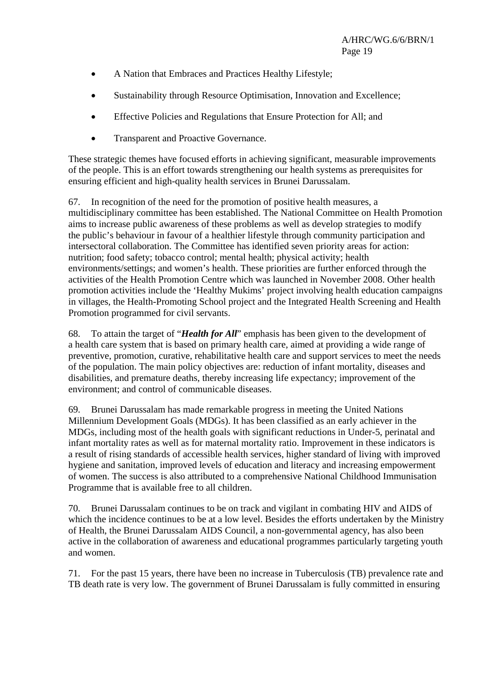- A Nation that Embraces and Practices Healthy Lifestyle;
- Sustainability through Resource Optimisation, Innovation and Excellence:
- Effective Policies and Regulations that Ensure Protection for All; and
- Transparent and Proactive Governance.

These strategic themes have focused efforts in achieving significant, measurable improvements of the people. This is an effort towards strengthening our health systems as prerequisites for ensuring efficient and high-quality health services in Brunei Darussalam.

67. In recognition of the need for the promotion of positive health measures, a multidisciplinary committee has been established. The National Committee on Health Promotion aims to increase public awareness of these problems as well as develop strategies to modify the public's behaviour in favour of a healthier lifestyle through community participation and intersectoral collaboration. The Committee has identified seven priority areas for action: nutrition; food safety; tobacco control; mental health; physical activity; health environments/settings; and women's health. These priorities are further enforced through the activities of the Health Promotion Centre which was launched in November 2008. Other health promotion activities include the 'Healthy Mukims' project involving health education campaigns in villages, the Health-Promoting School project and the Integrated Health Screening and Health Promotion programmed for civil servants.

68. To attain the target of "*Health for All*" emphasis has been given to the development of a health care system that is based on primary health care, aimed at providing a wide range of preventive, promotion, curative, rehabilitative health care and support services to meet the needs of the population. The main policy objectives are: reduction of infant mortality, diseases and disabilities, and premature deaths, thereby increasing life expectancy; improvement of the environment; and control of communicable diseases.

69. Brunei Darussalam has made remarkable progress in meeting the United Nations Millennium Development Goals (MDGs). It has been classified as an early achiever in the MDGs, including most of the health goals with significant reductions in Under-5, perinatal and infant mortality rates as well as for maternal mortality ratio. Improvement in these indicators is a result of rising standards of accessible health services, higher standard of living with improved hygiene and sanitation, improved levels of education and literacy and increasing empowerment of women. The success is also attributed to a comprehensive National Childhood Immunisation Programme that is available free to all children.

70. Brunei Darussalam continues to be on track and vigilant in combating HIV and AIDS of which the incidence continues to be at a low level. Besides the efforts undertaken by the Ministry of Health, the Brunei Darussalam AIDS Council, a non-governmental agency, has also been active in the collaboration of awareness and educational programmes particularly targeting youth and women.

71. For the past 15 years, there have been no increase in Tuberculosis (TB) prevalence rate and TB death rate is very low. The government of Brunei Darussalam is fully committed in ensuring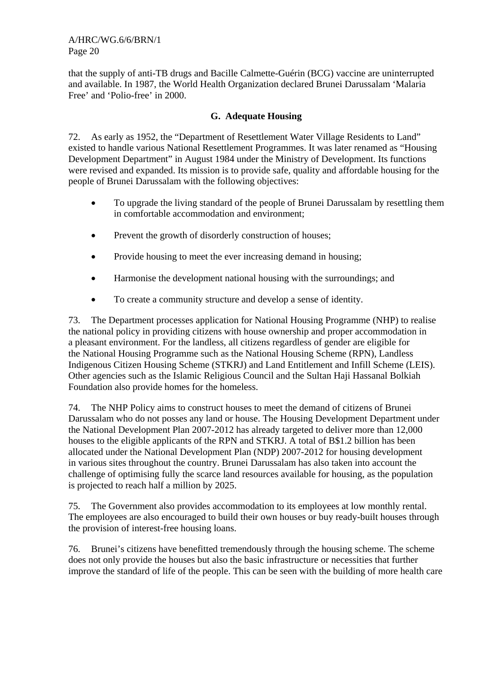that the supply of anti-TB drugs and Bacille Calmette-Guérin (BCG) vaccine are uninterrupted and available. In 1987, the World Health Organization declared Brunei Darussalam 'Malaria Free' and 'Polio-free' in 2000.

#### **G. Adequate Housing**

72. As early as 1952, the "Department of Resettlement Water Village Residents to Land" existed to handle various National Resettlement Programmes. It was later renamed as "Housing Development Department" in August 1984 under the Ministry of Development. Its functions were revised and expanded. Its mission is to provide safe, quality and affordable housing for the people of Brunei Darussalam with the following objectives:

- To upgrade the living standard of the people of Brunei Darussalam by resettling them in comfortable accommodation and environment;
- Prevent the growth of disorderly construction of houses:
- Provide housing to meet the ever increasing demand in housing;
- Harmonise the development national housing with the surroundings; and
- To create a community structure and develop a sense of identity.

73. The Department processes application for National Housing Programme (NHP) to realise the national policy in providing citizens with house ownership and proper accommodation in a pleasant environment. For the landless, all citizens regardless of gender are eligible for the National Housing Programme such as the National Housing Scheme (RPN), Landless Indigenous Citizen Housing Scheme (STKRJ) and Land Entitlement and Infill Scheme (LEIS). Other agencies such as the Islamic Religious Council and the Sultan Haji Hassanal Bolkiah Foundation also provide homes for the homeless.

74. The NHP Policy aims to construct houses to meet the demand of citizens of Brunei Darussalam who do not posses any land or house. The Housing Development Department under the National Development Plan 2007-2012 has already targeted to deliver more than 12,000 houses to the eligible applicants of the RPN and STKRJ. A total of B\$1.2 billion has been allocated under the National Development Plan (NDP) 2007-2012 for housing development in various sites throughout the country. Brunei Darussalam has also taken into account the challenge of optimising fully the scarce land resources available for housing, as the population is projected to reach half a million by 2025.

75. The Government also provides accommodation to its employees at low monthly rental. The employees are also encouraged to build their own houses or buy ready-built houses through the provision of interest-free housing loans.

76. Brunei's citizens have benefitted tremendously through the housing scheme. The scheme does not only provide the houses but also the basic infrastructure or necessities that further improve the standard of life of the people. This can be seen with the building of more health care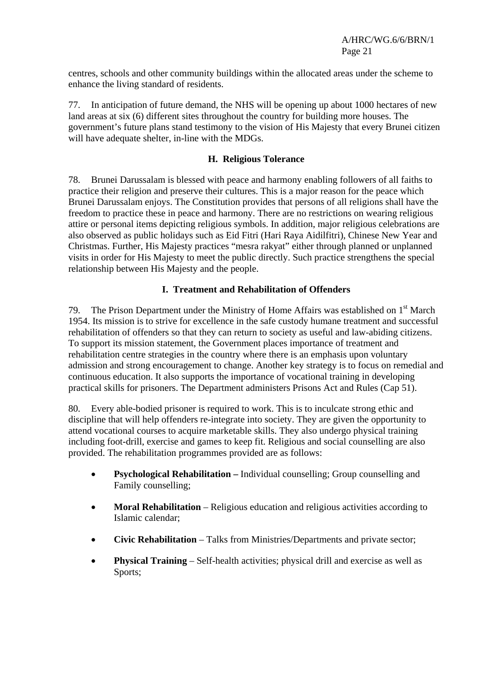centres, schools and other community buildings within the allocated areas under the scheme to enhance the living standard of residents.

77. In anticipation of future demand, the NHS will be opening up about 1000 hectares of new land areas at six (6) different sites throughout the country for building more houses. The government's future plans stand testimony to the vision of His Majesty that every Brunei citizen will have adequate shelter, in-line with the MDGs.

#### **H. Religious Tolerance**

78. Brunei Darussalam is blessed with peace and harmony enabling followers of all faiths to practice their religion and preserve their cultures. This is a major reason for the peace which Brunei Darussalam enjoys. The Constitution provides that persons of all religions shall have the freedom to practice these in peace and harmony. There are no restrictions on wearing religious attire or personal items depicting religious symbols. In addition, major religious celebrations are also observed as public holidays such as Eid Fitri (Hari Raya Aidilfitri), Chinese New Year and Christmas. Further, His Majesty practices "mesra rakyat" either through planned or unplanned visits in order for His Majesty to meet the public directly. Such practice strengthens the special relationship between His Majesty and the people.

## **I. Treatment and Rehabilitation of Offenders**

79. The Prison Department under the Ministry of Home Affairs was established on  $1<sup>st</sup>$  March 1954. Its mission is to strive for excellence in the safe custody humane treatment and successful rehabilitation of offenders so that they can return to society as useful and law-abiding citizens. To support its mission statement, the Government places importance of treatment and rehabilitation centre strategies in the country where there is an emphasis upon voluntary admission and strong encouragement to change. Another key strategy is to focus on remedial and continuous education. It also supports the importance of vocational training in developing practical skills for prisoners. The Department administers Prisons Act and Rules (Cap 51).

80. Every able-bodied prisoner is required to work. This is to inculcate strong ethic and discipline that will help offenders re-integrate into society. They are given the opportunity to attend vocational courses to acquire marketable skills. They also undergo physical training including foot-drill, exercise and games to keep fit. Religious and social counselling are also provided. The rehabilitation programmes provided are as follows:

- **Psychological Rehabilitation** Individual counselling; Group counselling and Family counselling;
- **Moral Rehabilitation** Religious education and religious activities according to Islamic calendar;
- **Civic Rehabilitation** Talks from Ministries/Departments and private sector;
- **Physical Training** Self-health activities; physical drill and exercise as well as Sports;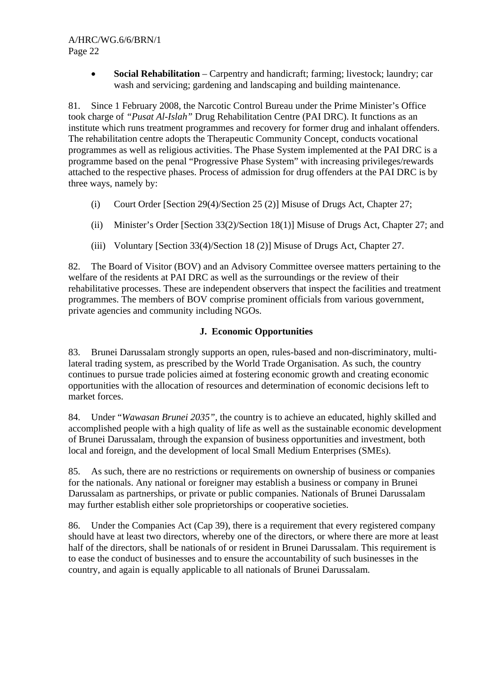• **Social Rehabilitation** – Carpentry and handicraft; farming; livestock; laundry; car wash and servicing; gardening and landscaping and building maintenance.

81. Since 1 February 2008, the Narcotic Control Bureau under the Prime Minister's Office took charge of *"Pusat Al-Islah"* Drug Rehabilitation Centre (PAI DRC). It functions as an institute which runs treatment programmes and recovery for former drug and inhalant offenders. The rehabilitation centre adopts the Therapeutic Community Concept, conducts vocational programmes as well as religious activities. The Phase System implemented at the PAI DRC is a programme based on the penal "Progressive Phase System" with increasing privileges/rewards attached to the respective phases. Process of admission for drug offenders at the PAI DRC is by three ways, namely by:

- (i) Court Order [Section 29(4)/Section 25 (2)] Misuse of Drugs Act, Chapter 27;
- (ii) Minister's Order [Section 33(2)/Section 18(1)] Misuse of Drugs Act, Chapter 27; and
- (iii) Voluntary [Section 33(4)/Section 18 (2)] Misuse of Drugs Act, Chapter 27.

82. The Board of Visitor (BOV) and an Advisory Committee oversee matters pertaining to the welfare of the residents at PAI DRC as well as the surroundings or the review of their rehabilitative processes. These are independent observers that inspect the facilities and treatment programmes. The members of BOV comprise prominent officials from various government, private agencies and community including NGOs.

#### **J. Economic Opportunities**

83. Brunei Darussalam strongly supports an open, rules-based and non-discriminatory, multilateral trading system, as prescribed by the World Trade Organisation. As such, the country continues to pursue trade policies aimed at fostering economic growth and creating economic opportunities with the allocation of resources and determination of economic decisions left to market forces.

84. Under "*Wawasan Brunei 2035"*, the country is to achieve an educated, highly skilled and accomplished people with a high quality of life as well as the sustainable economic development of Brunei Darussalam, through the expansion of business opportunities and investment, both local and foreign, and the development of local Small Medium Enterprises (SMEs).

85. As such, there are no restrictions or requirements on ownership of business or companies for the nationals. Any national or foreigner may establish a business or company in Brunei Darussalam as partnerships, or private or public companies. Nationals of Brunei Darussalam may further establish either sole proprietorships or cooperative societies.

86. Under the Companies Act (Cap 39), there is a requirement that every registered company should have at least two directors, whereby one of the directors, or where there are more at least half of the directors, shall be nationals of or resident in Brunei Darussalam. This requirement is to ease the conduct of businesses and to ensure the accountability of such businesses in the country, and again is equally applicable to all nationals of Brunei Darussalam.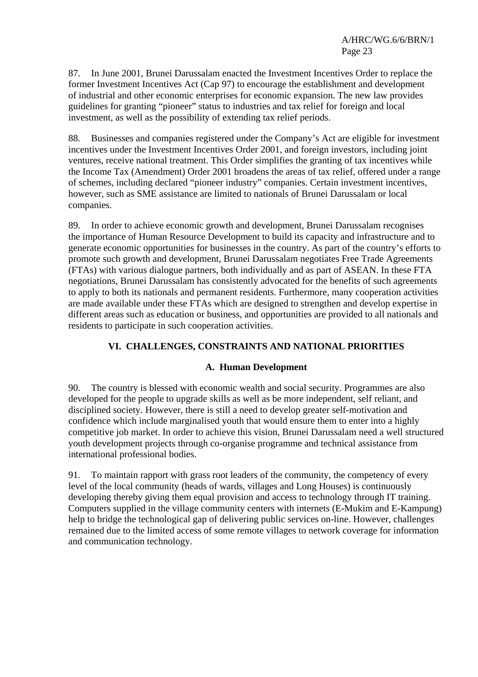87. In June 2001, Brunei Darussalam enacted the Investment Incentives Order to replace the former Investment Incentives Act (Cap 97) to encourage the establishment and development of industrial and other economic enterprises for economic expansion. The new law provides guidelines for granting "pioneer" status to industries and tax relief for foreign and local investment, as well as the possibility of extending tax relief periods.

88. Businesses and companies registered under the Company's Act are eligible for investment incentives under the Investment Incentives Order 2001, and foreign investors, including joint ventures, receive national treatment. This Order simplifies the granting of tax incentives while the Income Tax (Amendment) Order 2001 broadens the areas of tax relief, offered under a range of schemes, including declared "pioneer industry" companies. Certain investment incentives, however, such as SME assistance are limited to nationals of Brunei Darussalam or local companies.

89. In order to achieve economic growth and development, Brunei Darussalam recognises the importance of Human Resource Development to build its capacity and infrastructure and to generate economic opportunities for businesses in the country. As part of the country's efforts to promote such growth and development, Brunei Darussalam negotiates Free Trade Agreements (FTAs) with various dialogue partners, both individually and as part of ASEAN. In these FTA negotiations, Brunei Darussalam has consistently advocated for the benefits of such agreements to apply to both its nationals and permanent residents. Furthermore, many cooperation activities are made available under these FTAs which are designed to strengthen and develop expertise in different areas such as education or business, and opportunities are provided to all nationals and residents to participate in such cooperation activities.

## **VI. CHALLENGES, CONSTRAINTS AND NATIONAL PRIORITIES**

#### **A. Human Development**

90. The country is blessed with economic wealth and social security. Programmes are also developed for the people to upgrade skills as well as be more independent, self reliant, and disciplined society. However, there is still a need to develop greater self-motivation and confidence which include marginalised youth that would ensure them to enter into a highly competitive job market. In order to achieve this vision, Brunei Darussalam need a well structured youth development projects through co-organise programme and technical assistance from international professional bodies.

91. To maintain rapport with grass root leaders of the community, the competency of every level of the local community (heads of wards, villages and Long Houses) is continuously developing thereby giving them equal provision and access to technology through IT training. Computers supplied in the village community centers with internets (E-Mukim and E-Kampung) help to bridge the technological gap of delivering public services on-line. However, challenges remained due to the limited access of some remote villages to network coverage for information and communication technology.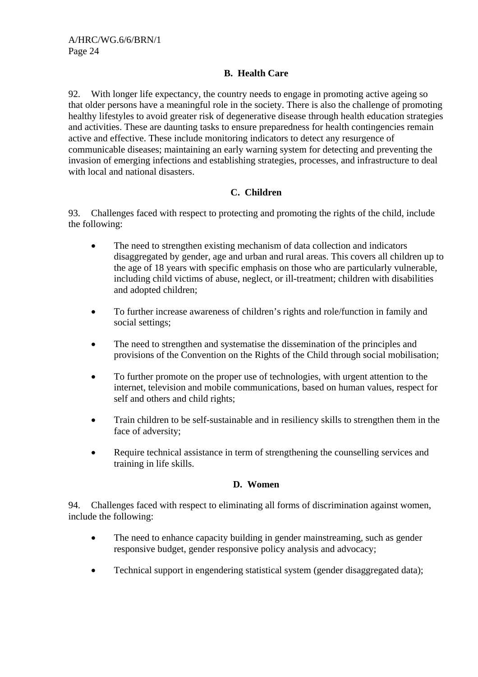## **B. Health Care**

92. With longer life expectancy, the country needs to engage in promoting active ageing so that older persons have a meaningful role in the society. There is also the challenge of promoting healthy lifestyles to avoid greater risk of degenerative disease through health education strategies and activities. These are daunting tasks to ensure preparedness for health contingencies remain active and effective. These include monitoring indicators to detect any resurgence of communicable diseases; maintaining an early warning system for detecting and preventing the invasion of emerging infections and establishing strategies, processes, and infrastructure to deal with local and national disasters.

## **C. Children**

93. Challenges faced with respect to protecting and promoting the rights of the child, include the following:

- The need to strengthen existing mechanism of data collection and indicators disaggregated by gender, age and urban and rural areas. This covers all children up to the age of 18 years with specific emphasis on those who are particularly vulnerable, including child victims of abuse, neglect, or ill-treatment; children with disabilities and adopted children;
- To further increase awareness of children's rights and role/function in family and social settings;
- The need to strengthen and systematise the dissemination of the principles and provisions of the Convention on the Rights of the Child through social mobilisation;
- To further promote on the proper use of technologies, with urgent attention to the internet, television and mobile communications, based on human values, respect for self and others and child rights;
- Train children to be self-sustainable and in resiliency skills to strengthen them in the face of adversity;
- Require technical assistance in term of strengthening the counselling services and training in life skills.

#### **D. Women**

94. Challenges faced with respect to eliminating all forms of discrimination against women, include the following:

- The need to enhance capacity building in gender mainstreaming, such as gender responsive budget, gender responsive policy analysis and advocacy;
- Technical support in engendering statistical system (gender disaggregated data);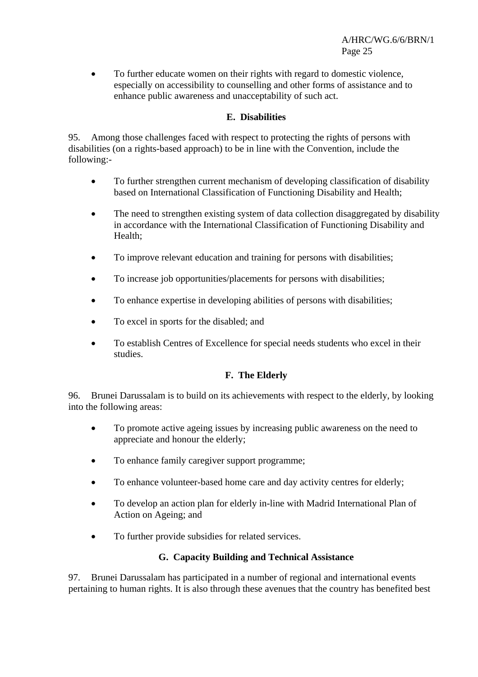• To further educate women on their rights with regard to domestic violence, especially on accessibility to counselling and other forms of assistance and to enhance public awareness and unacceptability of such act.

## **E. Disabilities**

95. Among those challenges faced with respect to protecting the rights of persons with disabilities (on a rights-based approach) to be in line with the Convention, include the following:-

- To further strengthen current mechanism of developing classification of disability based on International Classification of Functioning Disability and Health;
- The need to strengthen existing system of data collection disaggregated by disability in accordance with the International Classification of Functioning Disability and Health;
- To improve relevant education and training for persons with disabilities;
- To increase job opportunities/placements for persons with disabilities;
- To enhance expertise in developing abilities of persons with disabilities;
- To excel in sports for the disabled; and
- To establish Centres of Excellence for special needs students who excel in their studies.

## **F. The Elderly**

96. Brunei Darussalam is to build on its achievements with respect to the elderly, by looking into the following areas:

- To promote active ageing issues by increasing public awareness on the need to appreciate and honour the elderly;
- To enhance family caregiver support programme;
- To enhance volunteer-based home care and day activity centres for elderly;
- To develop an action plan for elderly in-line with Madrid International Plan of Action on Ageing; and
- To further provide subsidies for related services.

## **G. Capacity Building and Technical Assistance**

97. Brunei Darussalam has participated in a number of regional and international events pertaining to human rights. It is also through these avenues that the country has benefited best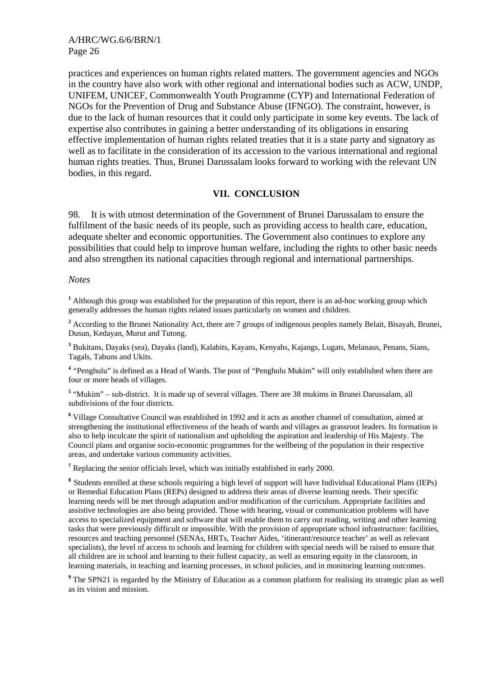practices and experiences on human rights related matters. The government agencies and NGOs in the country have also work with other regional and international bodies such as ACW, UNDP, UNIFEM, UNICEF, Commonwealth Youth Programme (CYP) and International Federation of NGOs for the Prevention of Drug and Substance Abuse (IFNGO). The constraint, however, is due to the lack of human resources that it could only participate in some key events. The lack of expertise also contributes in gaining a better understanding of its obligations in ensuring effective implementation of human rights related treaties that it is a state party and signatory as well as to facilitate in the consideration of its accession to the various international and regional human rights treaties. Thus, Brunei Darussalam looks forward to working with the relevant UN bodies, in this regard.

#### **VII. CONCLUSION**

98. It is with utmost determination of the Government of Brunei Darussalam to ensure the fulfilment of the basic needs of its people, such as providing access to health care, education, adequate shelter and economic opportunities. The Government also continues to explore any possibilities that could help to improve human welfare, including the rights to other basic needs and also strengthen its national capacities through regional and international partnerships.

#### *Notes*

<sup>1</sup> Although this group was established for the preparation of this report, there is an ad-hoc working group which generally addresses the human rights related issues particularly on women and children.

<sup>2</sup> According to the Brunei Nationality Act, there are 7 groups of indigenous peoples namely Belait, Bisayah, Brunei, Dusun, Kedayan, Murut and Tutong.

**3** Bukitans, Dayaks (sea), Dayaks (land), Kalabits, Kayans, Kenyahs, Kajangs, Lugats, Melanaus, Penans, Sians, Tagals, Tabuns and Ukits.

**<sup>4</sup>** "Penghulu" is defined as a Head of Wards. The post of "Penghulu Mukim" will only established when there are four or more heads of villages.

<sup>5</sup> "Mukim" – sub-district. It is made up of several villages. There are 38 mukims in Brunei Darussalam, all subdivisions of the four districts.

<sup>6</sup> Village Consultative Council was established in 1992 and it acts as another channel of consultation, aimed at strengthening the institutional effectiveness of the heads of wards and villages as grassroot leaders. Its formation is also to help inculcate the spirit of nationalism and upholding the aspiration and leadership of His Majesty. The Council plans and organise socio-economic programmes for the wellbeing of the population in their respective areas, and undertake various community activities.

<sup>7</sup> Replacing the senior officials level, which was initially established in early 2000.

**<sup>8</sup>** Students enrolled at these schools requiring a high level of support will have Individual Educational Plans (IEPs) or Remedial Education Plans (REPs) designed to address their areas of diverse learning needs. Their specific learning needs will be met through adaptation and/or modification of the curriculum. Appropriate facilities and assistive technologies are also being provided. Those with hearing, visual or communication problems will have access to specialized equipment and software that will enable them to carry out reading, writing and other learning tasks that were previously difficult or impossible. With the provision of appropriate school infrastructure: facilities, resources and teaching personnel (SENAs, HRTs, Teacher Aides, 'itinerant/resource teacher' as well as relevant specialists), the level of access to schools and learning for children with special needs will be raised to ensure that all children are in school and learning to their fullest capacity, as well as ensuring equity in the classroom, in learning materials, in teaching and learning processes, in school policies, and in monitoring learning outcomes.

<sup>9</sup> The SPN21 is regarded by the Ministry of Education as a common platform for realising its strategic plan as well as its vision and mission.